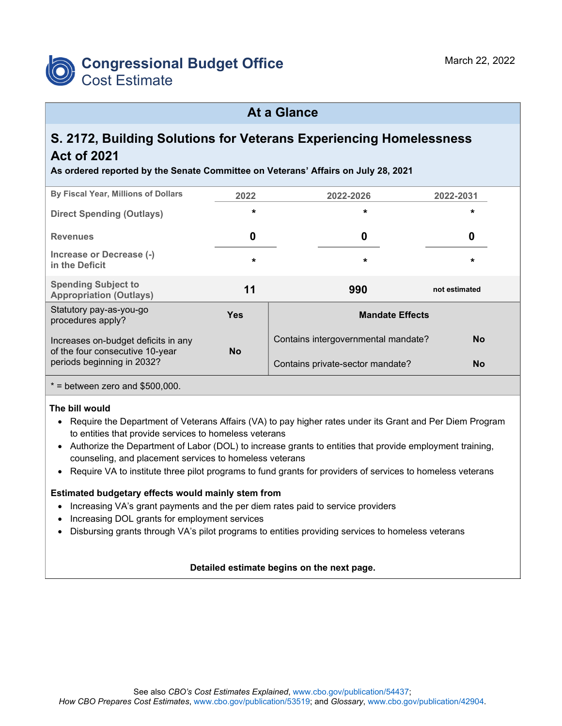

### **At a Glance**

# **S. 2172, Building Solutions for Veterans Experiencing Homelessness Act of 2021**

**As ordered reported by the Senate Committee on Veterans' Affairs on July 28, 2021**

| By Fiscal Year, Millions of Dollars                                    | 2022       | 2022-2026                           | 2022-2031     |  |  |  |
|------------------------------------------------------------------------|------------|-------------------------------------|---------------|--|--|--|
| <b>Direct Spending (Outlays)</b>                                       | $\star$    | $\star$                             | $\star$       |  |  |  |
| <b>Revenues</b>                                                        | 0          | 0                                   | 0             |  |  |  |
| Increase or Decrease (-)<br>in the Deficit                             | $\star$    | $\star$                             | $\star$       |  |  |  |
| <b>Spending Subject to</b><br><b>Appropriation (Outlays)</b>           | 11         | 990                                 | not estimated |  |  |  |
| Statutory pay-as-you-go<br>procedures apply?                           | <b>Yes</b> | <b>Mandate Effects</b>              |               |  |  |  |
| Increases on-budget deficits in any<br>of the four consecutive 10-year | <b>No</b>  | Contains intergovernmental mandate? | <b>No</b>     |  |  |  |
| periods beginning in 2032?                                             |            | Contains private-sector mandate?    | <b>No</b>     |  |  |  |
| $*$ = between zero and \$500,000.                                      |            |                                     |               |  |  |  |

#### **The bill would**

- Require the Department of Veterans Affairs (VA) to pay higher rates under its Grant and Per Diem Program to entities that provide services to homeless veterans
- Authorize the Department of Labor (DOL) to increase grants to entities that provide employment training, counseling, and placement services to homeless veterans
- Require VA to institute three pilot programs to fund grants for providers of services to homeless veterans

#### **Estimated budgetary effects would mainly stem from**

- Increasing VA's grant payments and the per diem rates paid to service providers
- Increasing DOL grants for employment services
- Disbursing grants through VA's pilot programs to entities providing services to homeless veterans

#### **Detailed estimate begins on the next page.**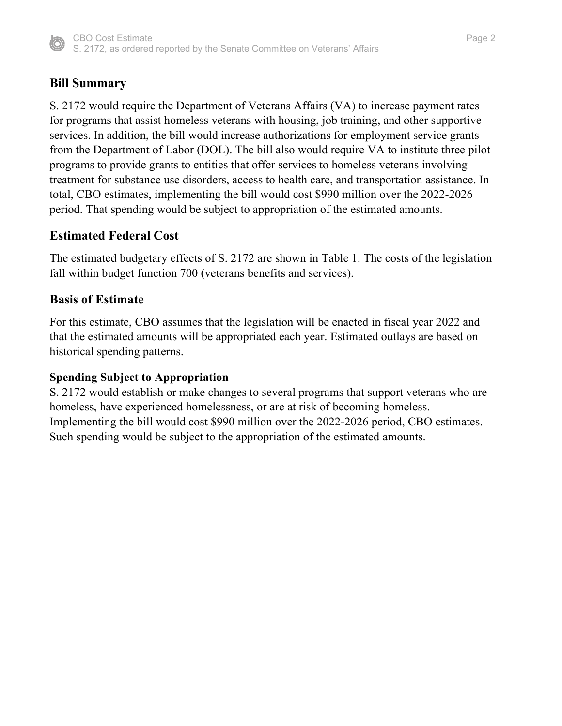

# **Bill Summary**

S. 2172 would require the Department of Veterans Affairs (VA) to increase payment rates for programs that assist homeless veterans with housing, job training, and other supportive services. In addition, the bill would increase authorizations for employment service grants from the Department of Labor (DOL). The bill also would require VA to institute three pilot programs to provide grants to entities that offer services to homeless veterans involving treatment for substance use disorders, access to health care, and transportation assistance. In total, CBO estimates, implementing the bill would cost \$990 million over the 2022-2026 period. That spending would be subject to appropriation of the estimated amounts.

### **Estimated Federal Cost**

The estimated budgetary effects of S. 2172 are shown in Table 1. The costs of the legislation fall within budget function 700 (veterans benefits and services).

### **Basis of Estimate**

For this estimate, CBO assumes that the legislation will be enacted in fiscal year 2022 and that the estimated amounts will be appropriated each year. Estimated outlays are based on historical spending patterns.

#### **Spending Subject to Appropriation**

S. 2172 would establish or make changes to several programs that support veterans who are homeless, have experienced homelessness, or are at risk of becoming homeless. Implementing the bill would cost \$990 million over the 2022-2026 period, CBO estimates. Such spending would be subject to the appropriation of the estimated amounts.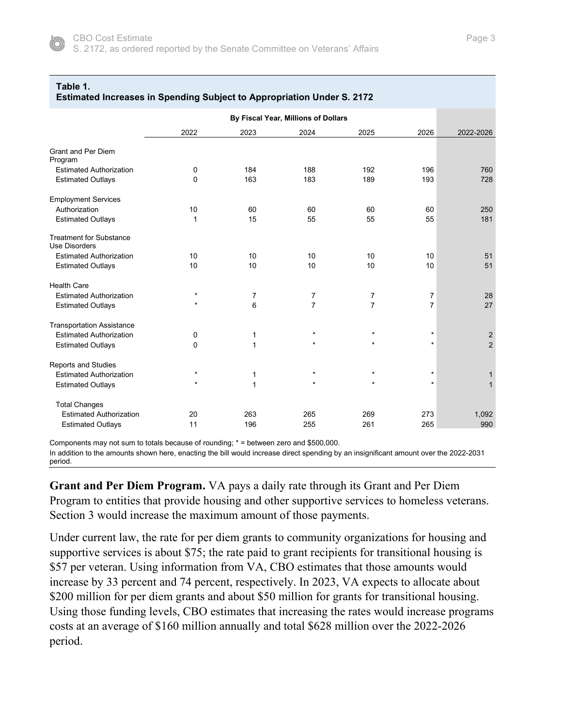

#### **Table 1.**

|                                                        |         |              | By Fiscal Year, Millions of Dollars |                |                |                |
|--------------------------------------------------------|---------|--------------|-------------------------------------|----------------|----------------|----------------|
|                                                        | 2022    | 2023         | 2024                                | 2025           | 2026           | 2022-2026      |
| <b>Grant and Per Diem</b><br>Program                   |         |              |                                     |                |                |                |
| <b>Estimated Authorization</b>                         | 0       | 184          | 188                                 | 192            | 196            | 760            |
| <b>Estimated Outlays</b>                               | 0       | 163          | 183                                 | 189            | 193            | 728            |
| <b>Employment Services</b>                             |         |              |                                     |                |                |                |
| Authorization                                          | 10      | 60           | 60                                  | 60             | 60             | 250            |
| <b>Estimated Outlays</b>                               | 1       | 15           | 55                                  | 55             | 55             | 181            |
| <b>Treatment for Substance</b><br><b>Use Disorders</b> |         |              |                                     |                |                |                |
| <b>Estimated Authorization</b>                         | 10      | 10           | 10                                  | 10             | 10             | 51             |
| <b>Estimated Outlays</b>                               | 10      | 10           | 10                                  | 10             | 10             | 51             |
| <b>Health Care</b>                                     |         |              |                                     |                |                |                |
| <b>Estimated Authorization</b>                         | $\star$ | 7            | 7                                   | 7              | 7              | 28             |
| <b>Estimated Outlays</b>                               | $\star$ | 6            | $\overline{7}$                      | $\overline{7}$ | $\overline{7}$ | 27             |
| <b>Transportation Assistance</b>                       |         |              |                                     |                |                |                |
| <b>Estimated Authorization</b>                         | 0       | 1            | $\star$                             | $\star$        | $\star$        | $\sqrt{2}$     |
| <b>Estimated Outlays</b>                               | 0       | $\mathbf{1}$ | $\star$                             | $\star$        | $^\star$       | $\overline{2}$ |
| Reports and Studies                                    |         |              |                                     |                |                |                |
| <b>Estimated Authorization</b>                         | $\star$ | 1            | $\star$                             | $\star$        | $\star$        | $\mathbf{1}$   |
| <b>Estimated Outlays</b>                               | $\star$ | $\mathbf{1}$ | $\star$                             | $\star$        | $^\star$       | $\mathbf{1}$   |
| <b>Total Changes</b>                                   |         |              |                                     |                |                |                |
| <b>Estimated Authorization</b>                         | 20      | 263          | 265                                 | 269            | 273            | 1,092          |
| <b>Estimated Outlays</b>                               | 11      | 196          | 255                                 | 261            | 265            | 990            |

Components may not sum to totals because of rounding; \* = between zero and \$500,000.

In addition to the amounts shown here, enacting the bill would increase direct spending by an insignificant amount over the 2022-2031 period.

**Grant and Per Diem Program.** VA pays a daily rate through its Grant and Per Diem Program to entities that provide housing and other supportive services to homeless veterans. Section 3 would increase the maximum amount of those payments.

Under current law, the rate for per diem grants to community organizations for housing and supportive services is about \$75; the rate paid to grant recipients for transitional housing is \$57 per veteran. Using information from VA, CBO estimates that those amounts would increase by 33 percent and 74 percent, respectively. In 2023, VA expects to allocate about \$200 million for per diem grants and about \$50 million for grants for transitional housing. Using those funding levels, CBO estimates that increasing the rates would increase programs costs at an average of \$160 million annually and total \$628 million over the 2022-2026 period.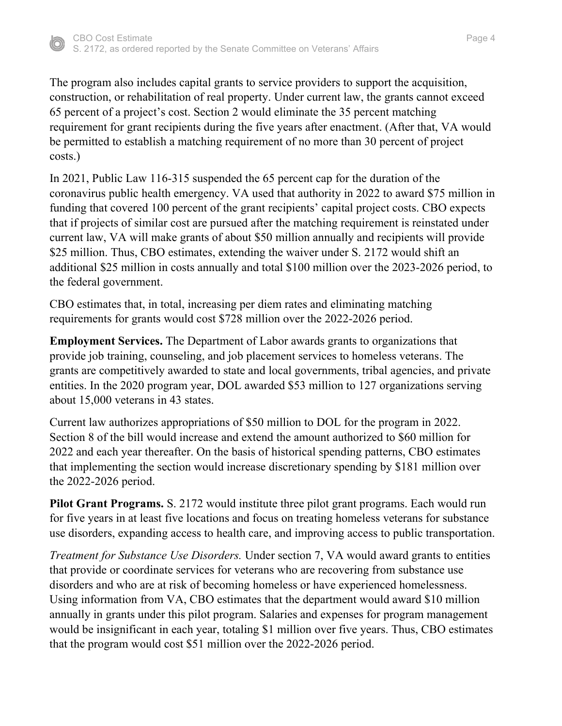

The program also includes capital grants to service providers to support the acquisition, construction, or rehabilitation of real property. Under current law, the grants cannot exceed 65 percent of a project's cost. Section 2 would eliminate the 35 percent matching requirement for grant recipients during the five years after enactment. (After that, VA would be permitted to establish a matching requirement of no more than 30 percent of project costs.)

In 2021, Public Law 116-315 suspended the 65 percent cap for the duration of the coronavirus public health emergency. VA used that authority in 2022 to award \$75 million in funding that covered 100 percent of the grant recipients' capital project costs. CBO expects that if projects of similar cost are pursued after the matching requirement is reinstated under current law, VA will make grants of about \$50 million annually and recipients will provide \$25 million. Thus, CBO estimates, extending the waiver under S. 2172 would shift an additional \$25 million in costs annually and total \$100 million over the 2023-2026 period, to the federal government.

CBO estimates that, in total, increasing per diem rates and eliminating matching requirements for grants would cost \$728 million over the 2022-2026 period.

**Employment Services.** The Department of Labor awards grants to organizations that provide job training, counseling, and job placement services to homeless veterans. The grants are competitively awarded to state and local governments, tribal agencies, and private entities. In the 2020 program year, DOL awarded \$53 million to 127 organizations serving about 15,000 veterans in 43 states.

Current law authorizes appropriations of \$50 million to DOL for the program in 2022. Section 8 of the bill would increase and extend the amount authorized to \$60 million for 2022 and each year thereafter. On the basis of historical spending patterns, CBO estimates that implementing the section would increase discretionary spending by \$181 million over the 2022-2026 period.

**Pilot Grant Programs.** S. 2172 would institute three pilot grant programs. Each would run for five years in at least five locations and focus on treating homeless veterans for substance use disorders, expanding access to health care, and improving access to public transportation.

*Treatment for Substance Use Disorders.* Under section 7, VA would award grants to entities that provide or coordinate services for veterans who are recovering from substance use disorders and who are at risk of becoming homeless or have experienced homelessness. Using information from VA, CBO estimates that the department would award \$10 million annually in grants under this pilot program. Salaries and expenses for program management would be insignificant in each year, totaling \$1 million over five years. Thus, CBO estimates that the program would cost \$51 million over the 2022-2026 period.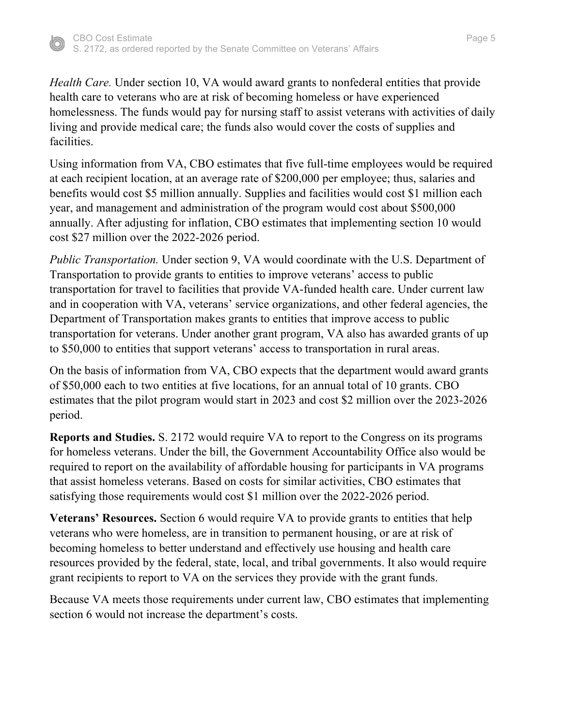

*Health Care.* Under section 10, VA would award grants to nonfederal entities that provide health care to veterans who are at risk of becoming homeless or have experienced homelessness. The funds would pay for nursing staff to assist veterans with activities of daily living and provide medical care; the funds also would cover the costs of supplies and facilities.

Using information from VA, CBO estimates that five full-time employees would be required at each recipient location, at an average rate of \$200,000 per employee; thus, salaries and benefits would cost \$5 million annually. Supplies and facilities would cost \$1 million each year, and management and administration of the program would cost about \$500,000 annually. After adjusting for inflation, CBO estimates that implementing section 10 would cost \$27 million over the 2022-2026 period.

*Public Transportation.* Under section 9, VA would coordinate with the U.S. Department of Transportation to provide grants to entities to improve veterans' access to public transportation for travel to facilities that provide VA-funded health care. Under current law and in cooperation with VA, veterans' service organizations, and other federal agencies, the Department of Transportation makes grants to entities that improve access to public transportation for veterans. Under another grant program, VA also has awarded grants of up to \$50,000 to entities that support veterans' access to transportation in rural areas.

On the basis of information from VA, CBO expects that the department would award grants of \$50,000 each to two entities at five locations, for an annual total of 10 grants. CBO estimates that the pilot program would start in 2023 and cost \$2 million over the 2023-2026 period.

**Reports and Studies.** S. 2172 would require VA to report to the Congress on its programs for homeless veterans. Under the bill, the Government Accountability Office also would be required to report on the availability of affordable housing for participants in VA programs that assist homeless veterans. Based on costs for similar activities, CBO estimates that satisfying those requirements would cost \$1 million over the 2022-2026 period.

**Veterans' Resources.** Section 6 would require VA to provide grants to entities that help veterans who were homeless, are in transition to permanent housing, or are at risk of becoming homeless to better understand and effectively use housing and health care resources provided by the federal, state, local, and tribal governments. It also would require grant recipients to report to VA on the services they provide with the grant funds.

Because VA meets those requirements under current law, CBO estimates that implementing section 6 would not increase the department's costs.